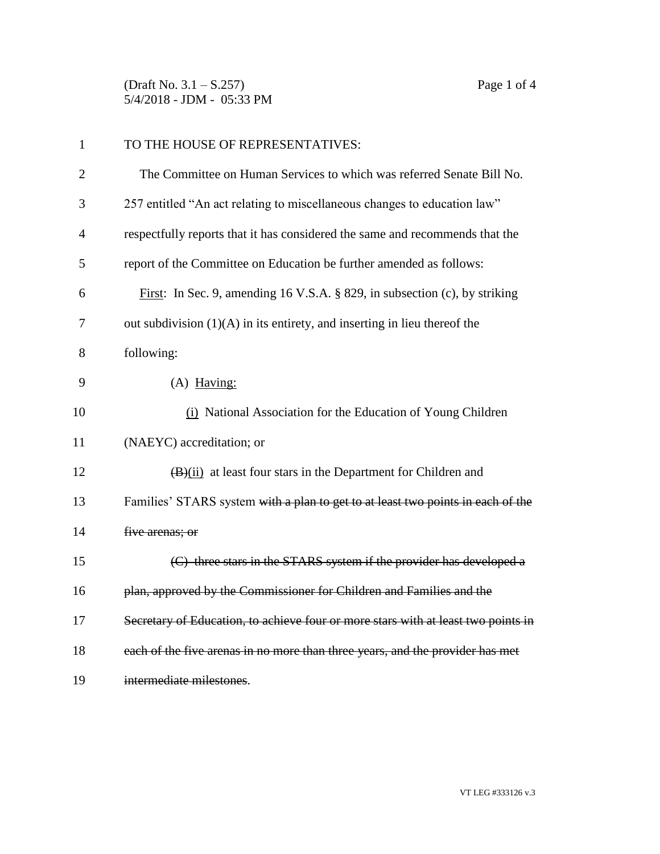(Draft No. 3.1 – S.257) Page 1 of 4 5/4/2018 - JDM - 05:33 PM

| $\mathbf{1}$   | TO THE HOUSE OF REPRESENTATIVES:                                                  |
|----------------|-----------------------------------------------------------------------------------|
| $\overline{2}$ | The Committee on Human Services to which was referred Senate Bill No.             |
| 3              | 257 entitled "An act relating to miscellaneous changes to education law"          |
| $\overline{4}$ | respectfully reports that it has considered the same and recommends that the      |
| 5              | report of the Committee on Education be further amended as follows:               |
| 6              | First: In Sec. 9, amending 16 V.S.A. § 829, in subsection (c), by striking        |
| 7              | out subdivision $(1)(A)$ in its entirety, and inserting in lieu thereof the       |
| 8              | following:                                                                        |
| 9              | $(A)$ Having:                                                                     |
| 10             | (i) National Association for the Education of Young Children                      |
| 11             | (NAEYC) accreditation; or                                                         |
| 12             | $(B)(ii)$ at least four stars in the Department for Children and                  |
| 13             | Families' STARS system with a plan to get to at least two points in each of the   |
| 14             | five arenas; or                                                                   |
| 15             | (C) three stars in the STARS system if the provider has developed a               |
| 16             | plan, approved by the Commissioner for Children and Families and the              |
| 17             | Secretary of Education, to achieve four or more stars with at least two points in |
| 18             | each of the five arenas in no more than three years, and the provider has met     |
| 19             | intermediate milestones.                                                          |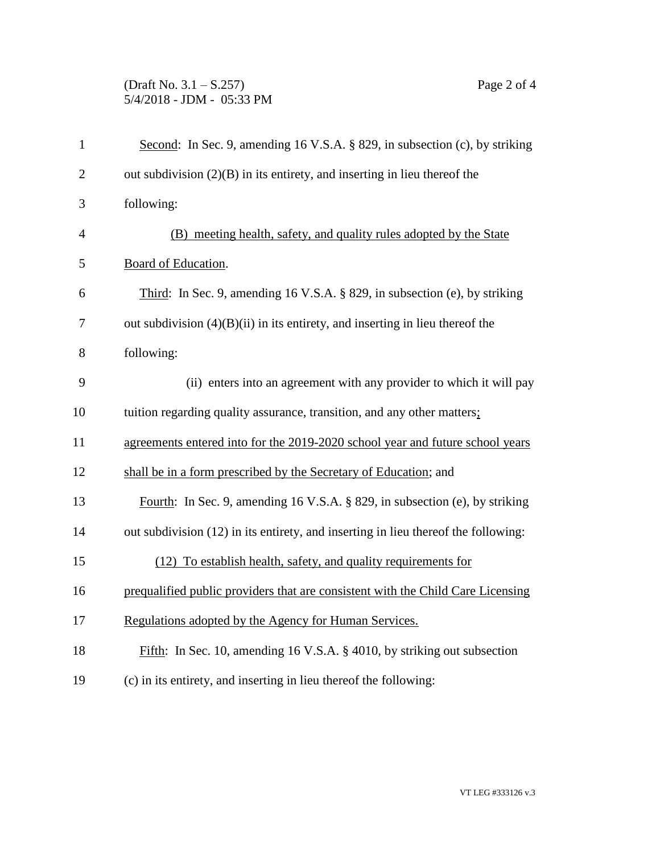## (Draft No. 3.1 – S.257) Page 2 of 4 5/4/2018 - JDM - 05:33 PM

| $\mathbf{1}$   | Second: In Sec. 9, amending 16 V.S.A. § 829, in subsection (c), by striking        |
|----------------|------------------------------------------------------------------------------------|
| $\overline{2}$ | out subdivision $(2)(B)$ in its entirety, and inserting in lieu thereof the        |
| 3              | following:                                                                         |
| $\overline{4}$ | (B) meeting health, safety, and quality rules adopted by the State                 |
| 5              | Board of Education.                                                                |
| 6              | Third: In Sec. 9, amending 16 V.S.A. § 829, in subsection (e), by striking         |
| 7              | out subdivision $(4)(B)(ii)$ in its entirety, and inserting in lieu thereof the    |
| 8              | following:                                                                         |
| 9              | (ii) enters into an agreement with any provider to which it will pay               |
| 10             | tuition regarding quality assurance, transition, and any other matters;            |
| 11             | agreements entered into for the 2019-2020 school year and future school years      |
| 12             | shall be in a form prescribed by the Secretary of Education; and                   |
| 13             | Fourth: In Sec. 9, amending 16 V.S.A. § 829, in subsection (e), by striking        |
| 14             | out subdivision (12) in its entirety, and inserting in lieu thereof the following: |
| 15             | (12) To establish health, safety, and quality requirements for                     |
| 16             | prequalified public providers that are consistent with the Child Care Licensing    |
| 17             | Regulations adopted by the Agency for Human Services.                              |
| 18             | Fifth: In Sec. 10, amending 16 V.S.A. § 4010, by striking out subsection           |
| 19             | (c) in its entirety, and inserting in lieu thereof the following:                  |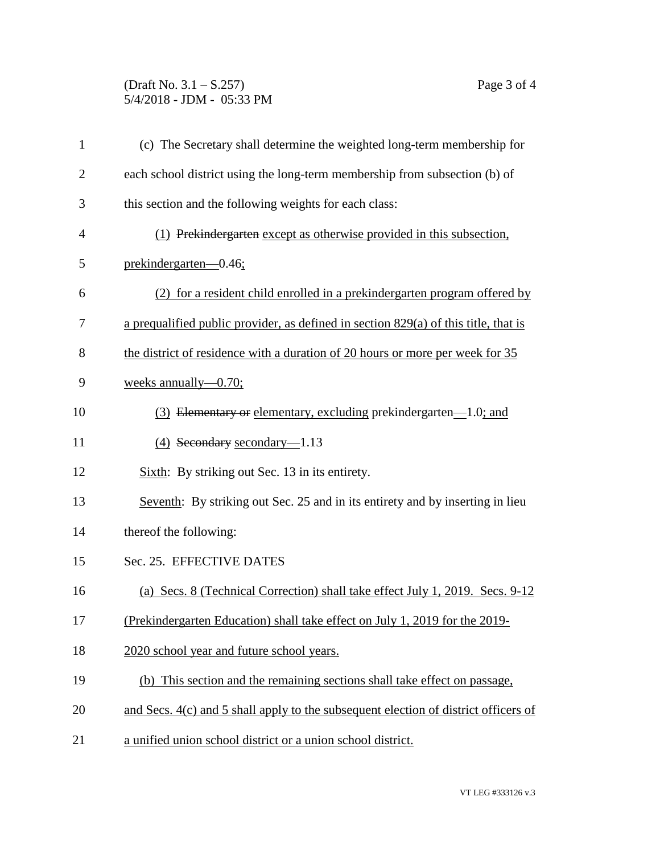## (Draft No. 3.1 – S.257) Page 3 of 4 5/4/2018 - JDM - 05:33 PM

| $\mathbf{1}$   | (c) The Secretary shall determine the weighted long-term membership for               |  |
|----------------|---------------------------------------------------------------------------------------|--|
| $\overline{2}$ | each school district using the long-term membership from subsection (b) of            |  |
| 3              | this section and the following weights for each class:                                |  |
| 4              | (1) Prekindergarten except as otherwise provided in this subsection,                  |  |
| 5              | prekindergarten-0.46;                                                                 |  |
| 6              | (2) for a resident child enrolled in a prekindergarten program offered by             |  |
| 7              | a prequalified public provider, as defined in section $829(a)$ of this title, that is |  |
| 8              | the district of residence with a duration of 20 hours or more per week for 35         |  |
| 9              | weeks annually- $0.70$ ;                                                              |  |
| 10             | (3) Elementary or elementary, excluding prekindergarten—1.0; and                      |  |
| 11             | $(4)$ Secondary secondary-1.13                                                        |  |
| 12             | Sixth: By striking out Sec. 13 in its entirety.                                       |  |
| 13             | Seventh: By striking out Sec. 25 and in its entirety and by inserting in lieu         |  |
| 14             | thereof the following:                                                                |  |
| 15             | Sec. 25. EFFECTIVE DATES                                                              |  |
| 16             | (a) Secs. 8 (Technical Correction) shall take effect July 1, 2019. Secs. 9-12         |  |
| 17             | (Prekindergarten Education) shall take effect on July 1, 2019 for the 2019-           |  |
| 18             | 2020 school year and future school years.                                             |  |
| 19             | (b) This section and the remaining sections shall take effect on passage,             |  |
| 20             | and Secs. 4(c) and 5 shall apply to the subsequent election of district officers of   |  |
| 21             | a unified union school district or a union school district.                           |  |